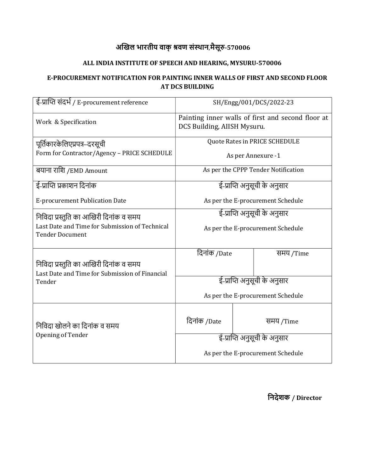## अखिल भारतीय वाक् श्रवण संस्थान,मैसूरु-570006

### ALL INDIA INSTITUTE OF SPEECH AND HEARING, MYSURU-570006

### E-PROCUREMENT NOTIFICATION FOR PAINTING INNER WALLS OF FIRST AND SECOND FLOOR AT DCS BUILDING

| ई-प्राप्ति संदर्भ / E-procurement reference                                              | SH/Engg/001/DCS/2022-23                                                          |           |  |  |  |
|------------------------------------------------------------------------------------------|----------------------------------------------------------------------------------|-----------|--|--|--|
| Work & Specification                                                                     | Painting inner walls of first and second floor at<br>DCS Building, AIISH Mysuru. |           |  |  |  |
| पूर्तिकारकेलिएप्रपत्र–दरसूची                                                             | Quote Rates in PRICE SCHEDULE                                                    |           |  |  |  |
| Form for Contractor/Agency - PRICE SCHEDULE                                              | As per Annexure -1                                                               |           |  |  |  |
| बयाना राशि /EMD Amount                                                                   | As per the CPPP Tender Notification                                              |           |  |  |  |
| ई-प्राप्ति प्रकाशन दिनांक                                                                | ई-प्राप्ति अनुसूची के अनुसार                                                     |           |  |  |  |
| E-procurement Publication Date                                                           | As per the E-procurement Schedule                                                |           |  |  |  |
| निविदा प्रस्तुति का आखिरी दिनांक व समय                                                   | ई-प्राप्ति अनुसूची के अनुसार                                                     |           |  |  |  |
| Last Date and Time for Submission of Technical<br><b>Tender Document</b>                 | As per the E-procurement Schedule                                                |           |  |  |  |
|                                                                                          | दिनांक /Date                                                                     | समय /Time |  |  |  |
| निविदा प्रस्तुति का आखिरी दिनांक व समय<br>Last Date and Time for Submission of Financial |                                                                                  |           |  |  |  |
| Tender                                                                                   | ई-प्राप्ति अनुसूची के अनुसार<br>As per the E-procurement Schedule                |           |  |  |  |
|                                                                                          |                                                                                  |           |  |  |  |
| निविदा खोलने का दिनांक व समय                                                             | दिनांक /Date                                                                     | समय /Time |  |  |  |
| Opening of Tender                                                                        | ई-प्राप्ति अनुसूची के अनुसार                                                     |           |  |  |  |
|                                                                                          |                                                                                  |           |  |  |  |
|                                                                                          | As per the E-procurement Schedule                                                |           |  |  |  |

िनदेशक / Director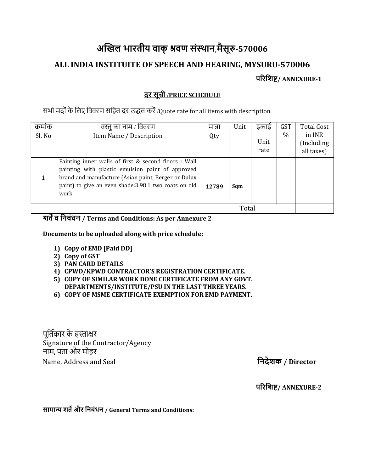# अखिल भारतीय वाक् श्रवण संस्थान,मैसूरु-570006 ALL INDIA INSTITUITE OF SPEECH AND HEARING, MYSURU-570006 परिशिष्ट/ ANNEXURE-1

### <u>दर सूची /PRICE SCHEDULE</u>

सभी मदों के लिए विवरण सहित दर उद्धत करें /Quote rate for all items with description.

| क्रमाक | वस्तु का नाम / विवरण                                                                                                                                                                                                            | मात्रा | Unit | इकाई | <b>GST</b> | <b>Total Cost</b> |
|--------|---------------------------------------------------------------------------------------------------------------------------------------------------------------------------------------------------------------------------------|--------|------|------|------------|-------------------|
| Sl. No | Item Name / Description                                                                                                                                                                                                         | Qty    |      |      | $\%$       | in INR            |
|        |                                                                                                                                                                                                                                 |        |      | Unit |            | (Including)       |
|        |                                                                                                                                                                                                                                 |        |      | rate |            | all taxes)        |
|        | Painting inner walls of first & second floors : Wall<br>painting with plastic emulsion paint of approved<br>brand and manufacture (Asian paint, Berger or Dulux<br>paint) to give an even shade:3.98.1 two coats on old<br>work | 12789  | Sqm  |      |            |                   |
|        |                                                                                                                                                                                                                                 | Total  |      |      |            |                   |

### शतें व निबंधन / Terms and Conditions: As per Annexure 2

Documents to be uploaded along with price schedule:

- 1) Copy of EMD [Paid DD]
- 2) Copy of GST
- 3) PAN CARD DETAILS
- 4) CPWD/KPWD CONTRACTOR'S REGISTRATION CERTIFICATE.
- 5) COPY OF SIMILAR WORK DONE CERTIFICATE FROM ANY GOVT. DEPARTMENTS/INSTITUTE/PSU IN THE LAST THREE YEARS.
- 6) COPY OF MSME CERTIFICATE EXEMPTION FOR EMD PAYMENT.

पूर्तिकार के हस्ताक्षर Signature of the Contractor/Agency नाम. पता और मोहर Name, Address and Seal

निदेशक / Director

परिशिष्ट/ ANNEXURE-2

सामान्य शर्तें और निबंधन / General Terms and Conditions: